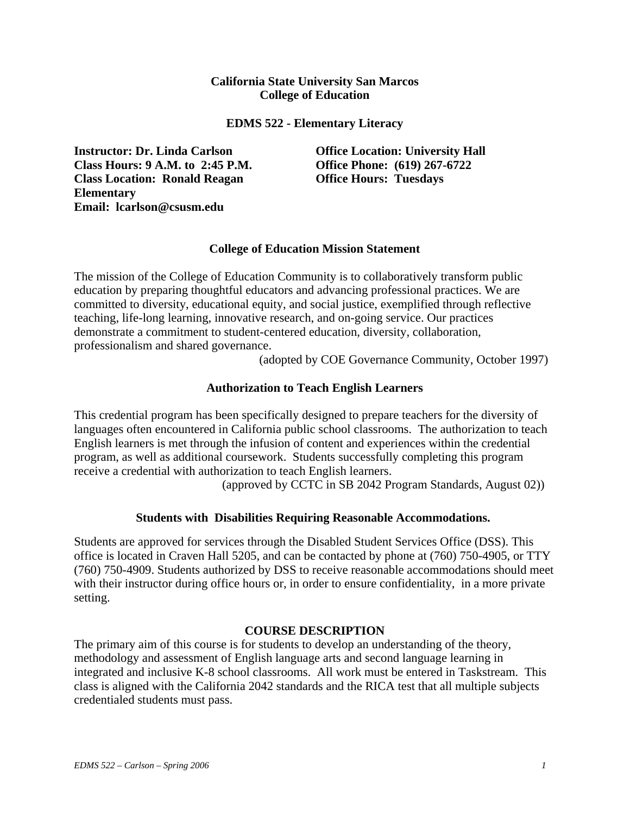## **California State University San Marcos College of Education**

#### **EDMS 522 - Elementary Literacy**

**Instructor: Dr. Linda Carlson Office Location: University Hall Class Hours: 9 A.M. to 2:45 P.M. Office Phone: (619) 267-6722 Class Location: Ronald Reagan Elementary Email: lcarlson@csusm.edu** 

**Office Hours: Tuesdays** 

## **College of Education Mission Statement**

The mission of the College of Education Community is to collaboratively transform public education by preparing thoughtful educators and advancing professional practices. We are committed to diversity, educational equity, and social justice, exemplified through reflective teaching, life-long learning, innovative research, and on-going service. Our practices demonstrate a commitment to student-centered education, diversity, collaboration, professionalism and shared governance.

(adopted by COE Governance Community, October 1997)

## **Authorization to Teach English Learners**

This credential program has been specifically designed to prepare teachers for the diversity of languages often encountered in California public school classrooms. The authorization to teach English learners is met through the infusion of content and experiences within the credential program, as well as additional coursework. Students successfully completing this program receive a credential with authorization to teach English learners.

(approved by CCTC in SB 2042 Program Standards, August 02))

## **Students with Disabilities Requiring Reasonable Accommodations.**

Students are approved for services through the Disabled Student Services Office (DSS). This office is located in Craven Hall 5205, and can be contacted by phone at (760) 750-4905, or TTY (760) 750-4909. Students authorized by DSS to receive reasonable accommodations should meet with their instructor during office hours or, in order to ensure confidentiality, in a more private setting.

## **COURSE DESCRIPTION**

The primary aim of this course is for students to develop an understanding of the theory, methodology and assessment of English language arts and second language learning in integrated and inclusive K-8 school classrooms. All work must be entered in Taskstream. This class is aligned with the California 2042 standards and the RICA test that all multiple subjects credentialed students must pass.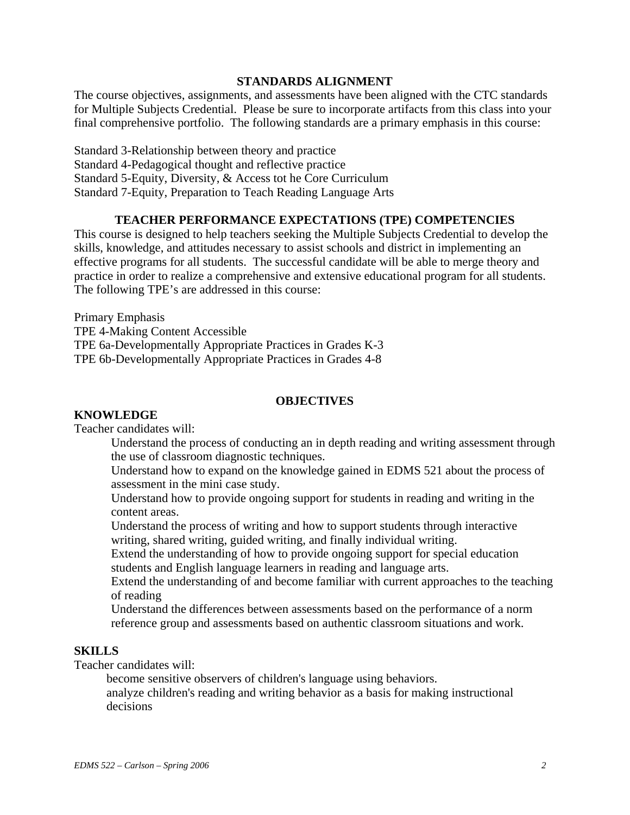#### **STANDARDS ALIGNMENT**

The course objectives, assignments, and assessments have been aligned with the CTC standards for Multiple Subjects Credential. Please be sure to incorporate artifacts from this class into your final comprehensive portfolio. The following standards are a primary emphasis in this course:

Standard 3-Relationship between theory and practice Standard 4-Pedagogical thought and reflective practice Standard 5-Equity, Diversity, & Access tot he Core Curriculum Standard 7-Equity, Preparation to Teach Reading Language Arts

## **TEACHER PERFORMANCE EXPECTATIONS (TPE) COMPETENCIES**

This course is designed to help teachers seeking the Multiple Subjects Credential to develop the skills, knowledge, and attitudes necessary to assist schools and district in implementing an effective programs for all students. The successful candidate will be able to merge theory and practice in order to realize a comprehensive and extensive educational program for all students. The following TPE's are addressed in this course:

Primary Emphasis TPE 4-Making Content Accessible TPE 6a-Developmentally Appropriate Practices in Grades K-3 TPE 6b-Developmentally Appropriate Practices in Grades 4-8

#### **OBJECTIVES**

#### **KNOWLEDGE**

Teacher candidates will:

Understand the process of conducting an in depth reading and writing assessment through the use of classroom diagnostic techniques.

Understand how to expand on the knowledge gained in EDMS 521 about the process of assessment in the mini case study.

Understand how to provide ongoing support for students in reading and writing in the content areas.

Understand the process of writing and how to support students through interactive writing, shared writing, guided writing, and finally individual writing.

Extend the understanding of how to provide ongoing support for special education students and English language learners in reading and language arts.

Extend the understanding of and become familiar with current approaches to the teaching of reading

Understand the differences between assessments based on the performance of a norm reference group and assessments based on authentic classroom situations and work.

## **SKILLS**

Teacher candidates will:

become sensitive observers of children's language using behaviors.

analyze children's reading and writing behavior as a basis for making instructional decisions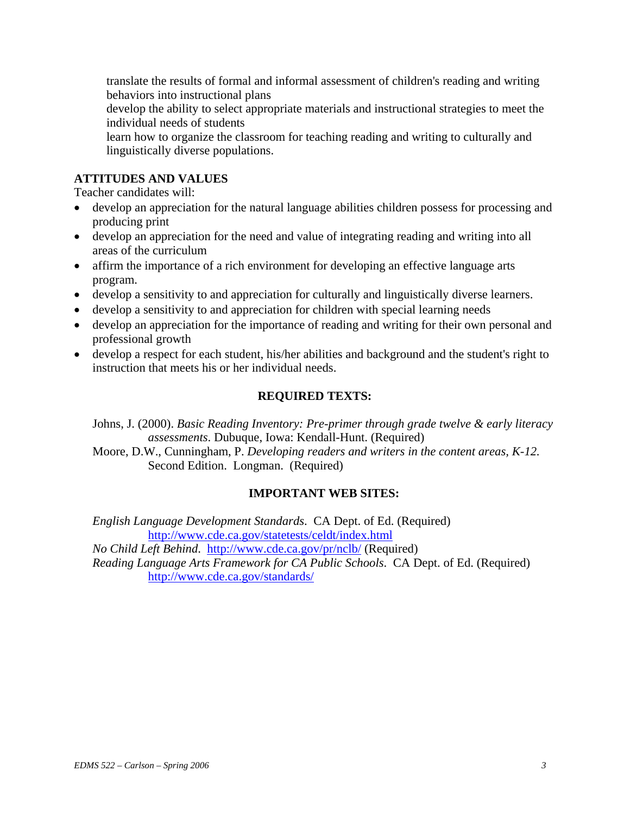translate the results of formal and informal assessment of children's reading and writing behaviors into instructional plans

develop the ability to select appropriate materials and instructional strategies to meet the individual needs of students

learn how to organize the classroom for teaching reading and writing to culturally and linguistically diverse populations.

# **ATTITUDES AND VALUES**

Teacher candidates will:

- develop an appreciation for the natural language abilities children possess for processing and producing print
- develop an appreciation for the need and value of integrating reading and writing into all areas of the curriculum
- affirm the importance of a rich environment for developing an effective language arts program.
- develop a sensitivity to and appreciation for culturally and linguistically diverse learners.
- develop a sensitivity to and appreciation for children with special learning needs
- develop an appreciation for the importance of reading and writing for their own personal and professional growth
- develop a respect for each student, his/her abilities and background and the student's right to instruction that meets his or her individual needs.

# **REQUIRED TEXTS:**

Johns, J. (2000). *Basic Reading Inventory: Pre-primer through grade twelve & early literacy assessments*. Dubuque, Iowa: Kendall-Hunt. (Required)

Moore, D.W., Cunningham, P. *Developing readers and writers in the content areas, K-12.*  Second Edition. Longman. (Required)

# **IMPORTANT WEB SITES:**

*English Language Development Standards*. CA Dept. of Ed. (Required) http://www.cde.ca.gov/statetests/celdt/index.html *No Child Left Behind*. http://www.cde.ca.gov/pr/nclb/ (Required)

*Reading Language Arts Framework for CA Public Schools*. CA Dept. of Ed. (Required) http://www.cde.ca.gov/standards/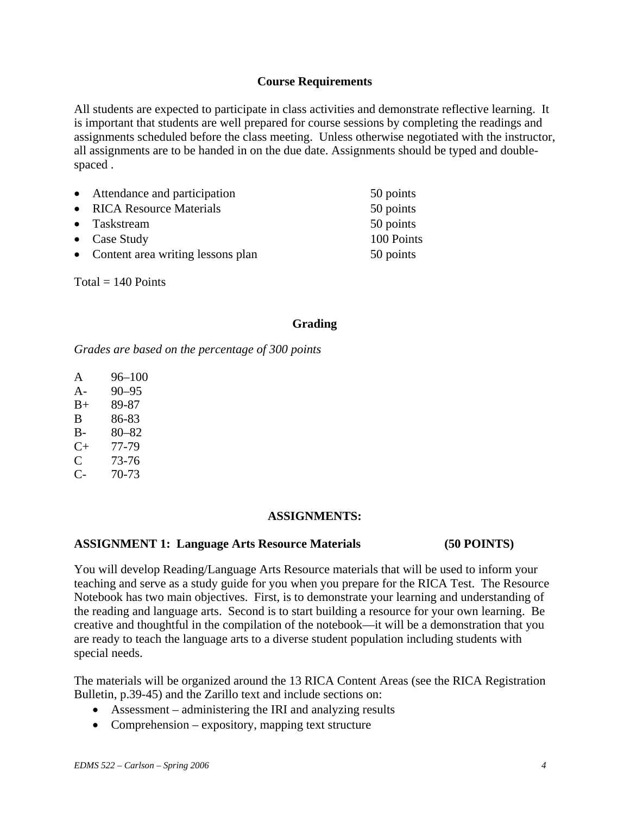## **Course Requirements**

All students are expected to participate in class activities and demonstrate reflective learning. It is important that students are well prepared for course sessions by completing the readings and assignments scheduled before the class meeting. Unless otherwise negotiated with the instructor, all assignments are to be handed in on the due date. Assignments should be typed and doublespaced .

| • Attendance and participation      | 50 points  |
|-------------------------------------|------------|
| • RICA Resource Materials           | 50 points  |
| • Taskstream                        | 50 points  |
| • Case Study                        | 100 Points |
| • Content area writing lessons plan | 50 points  |

 $Total = 140$  Points

## **Grading**

*Grades are based on the percentage of 300 points* 

- A 96–100
- A- 90–95
- B+ 89-87
- B 86-83
- B- 80–82
- C+ 77-79
- C 73-76
- C- 70-73

## **ASSIGNMENTS:**

## **ASSIGNMENT 1: Language Arts Resource Materials (50 POINTS)**

You will develop Reading/Language Arts Resource materials that will be used to inform your teaching and serve as a study guide for you when you prepare for the RICA Test. The Resource Notebook has two main objectives. First, is to demonstrate your learning and understanding of the reading and language arts. Second is to start building a resource for your own learning. Be creative and thoughtful in the compilation of the notebook—it will be a demonstration that you are ready to teach the language arts to a diverse student population including students with special needs.

The materials will be organized around the 13 RICA Content Areas (see the RICA Registration Bulletin, p.39-45) and the Zarillo text and include sections on:

- Assessment administering the IRI and analyzing results
- Comprehension expository, mapping text structure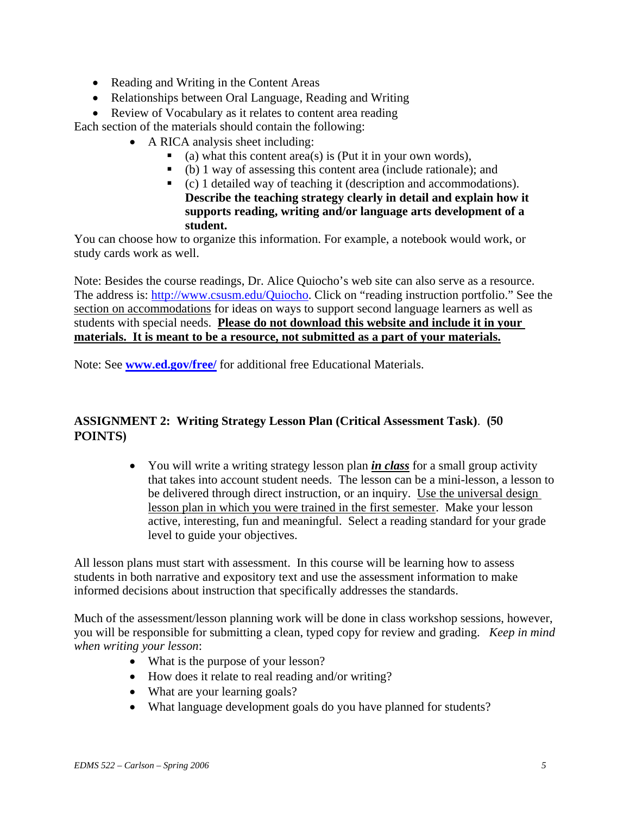- Reading and Writing in the Content Areas
- Relationships between Oral Language, Reading and Writing
- Review of Vocabulary as it relates to content area reading

Each section of the materials should contain the following:

- A RICA analysis sheet including:
	- (a) what this content area(s) is (Put it in your own words),
	- (b) 1 way of assessing this content area (include rationale); and
	- (c) 1 detailed way of teaching it (description and accommodations). **Describe the teaching strategy clearly in detail and explain how it supports reading, writing and/or language arts development of a student.**

You can choose how to organize this information. For example, a notebook would work, or study cards work as well.

Note: Besides the course readings, Dr. Alice Quiocho's web site can also serve as a resource. The address is: http://www.csusm.edu/Quiocho. Click on "reading instruction portfolio." See the section on accommodations for ideas on ways to support second language learners as well as students with special needs. **Please do not download this website and include it in your materials. It is meant to be a resource, not submitted as a part of your materials.**

Note: See **www.ed.gov/free/** for additional free Educational Materials.

# **ASSIGNMENT 2: Writing Strategy Lesson Plan (Critical Assessment Task)**. **(50 POINTS)**

• You will write a writing strategy lesson plan *in class* for a small group activity that takes into account student needs. The lesson can be a mini-lesson, a lesson to be delivered through direct instruction, or an inquiry. Use the universal design lesson plan in which you were trained in the first semester. Make your lesson active, interesting, fun and meaningful. Select a reading standard for your grade level to guide your objectives.

All lesson plans must start with assessment. In this course will be learning how to assess students in both narrative and expository text and use the assessment information to make informed decisions about instruction that specifically addresses the standards.

Much of the assessment/lesson planning work will be done in class workshop sessions, however, you will be responsible for submitting a clean, typed copy for review and grading. *Keep in mind when writing your lesson*:

- What is the purpose of your lesson?
- How does it relate to real reading and/or writing?
- What are your learning goals?
- What language development goals do you have planned for students?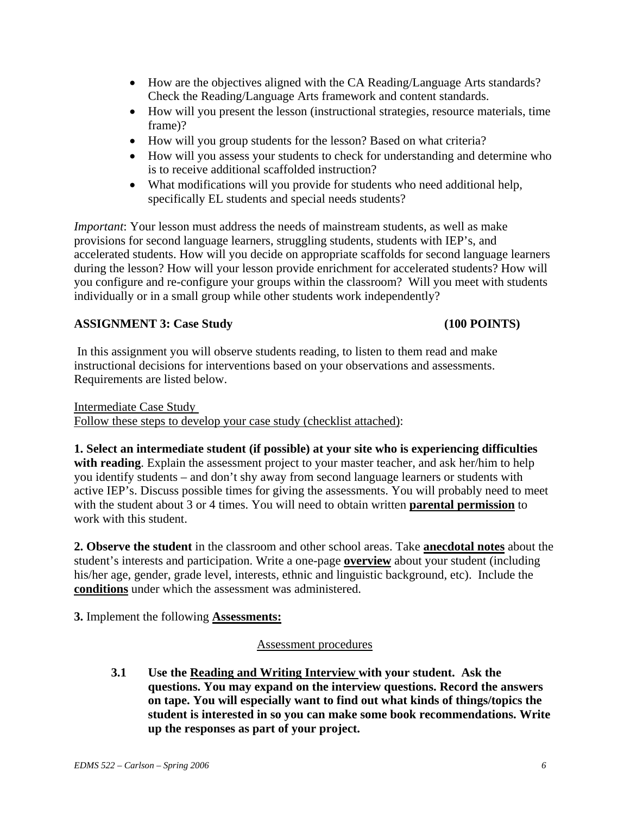- How are the objectives aligned with the CA Reading/Language Arts standards? Check the Reading/Language Arts framework and content standards.
- How will you present the lesson (instructional strategies, resource materials, time frame)?
- How will you group students for the lesson? Based on what criteria?
- How will you assess your students to check for understanding and determine who is to receive additional scaffolded instruction?
- What modifications will you provide for students who need additional help, specifically EL students and special needs students?

*Important*: Your lesson must address the needs of mainstream students, as well as make provisions for second language learners, struggling students, students with IEP's, and accelerated students. How will you decide on appropriate scaffolds for second language learners during the lesson? How will your lesson provide enrichment for accelerated students? How will you configure and re-configure your groups within the classroom? Will you meet with students individually or in a small group while other students work independently?

# **ASSIGNMENT 3: Case Study (100 POINTS)**

In this assignment you will observe students reading, to listen to them read and make instructional decisions for interventions based on your observations and assessments. Requirements are listed below.

Intermediate Case Study Follow these steps to develop your case study (checklist attached):

**1. Select an intermediate student (if possible) at your site who is experiencing difficulties with reading**. Explain the assessment project to your master teacher, and ask her/him to help you identify students – and don't shy away from second language learners or students with active IEP's. Discuss possible times for giving the assessments. You will probably need to meet with the student about 3 or 4 times. You will need to obtain written **parental permission** to work with this student.

**2. Observe the student** in the classroom and other school areas. Take **anecdotal notes** about the student's interests and participation. Write a one-page **overview** about your student (including his/her age, gender, grade level, interests, ethnic and linguistic background, etc). Include the **conditions** under which the assessment was administered.

**3.** Implement the following **Assessments:**

# Assessment procedures

**3.1 Use the Reading and Writing Interview with your student. Ask the questions. You may expand on the interview questions. Record the answers on tape. You will especially want to find out what kinds of things/topics the student is interested in so you can make some book recommendations. Write up the responses as part of your project.**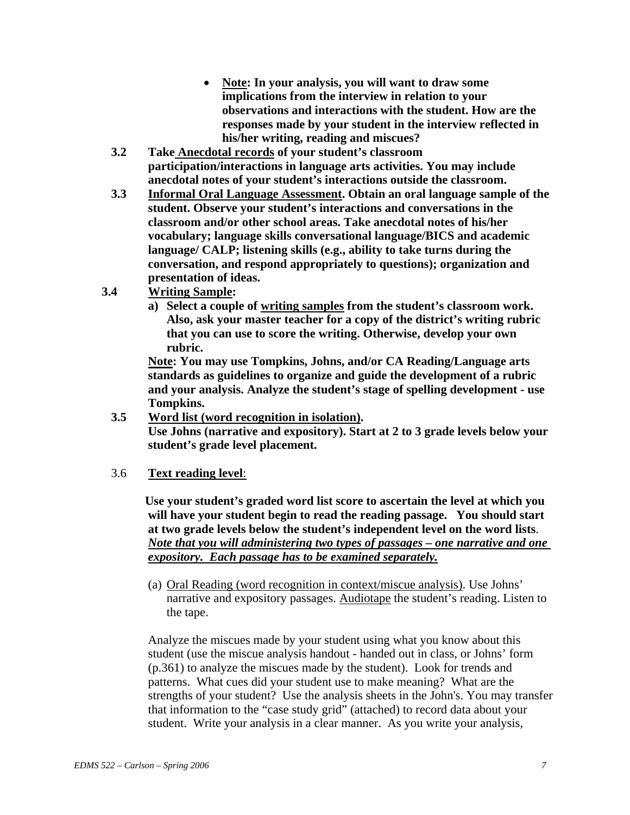- **Note: In your analysis, you will want to draw some implications from the interview in relation to your observations and interactions with the student. How are the responses made by your student in the interview reflected in his/her writing, reading and miscues?**
- **3.2 Take Anecdotal records of your student's classroom participation/interactions in language arts activities. You may include anecdotal notes of your student's interactions outside the classroom.**
- **3.3 Informal Oral Language Assessment. Obtain an oral language sample of the student. Observe your student's interactions and conversations in the classroom and/or other school areas. Take anecdotal notes of his/her vocabulary; language skills conversational language/BICS and academic language/ CALP; listening skills (e.g., ability to take turns during the conversation, and respond appropriately to questions); organization and presentation of ideas.**
- **3.4 Writing Sample:** 
	- **a) Select a couple of writing samples from the student's classroom work. Also, ask your master teacher for a copy of the district's writing rubric that you can use to score the writing. Otherwise, develop your own rubric.**

**Note: You may use Tompkins, Johns, and/or CA Reading/Language arts standards as guidelines to organize and guide the development of a rubric and your analysis. Analyze the student's stage of spelling development - use Tompkins.** 

**3.5 Word list (word recognition in isolation). Use Johns (narrative and expository). Start at 2 to 3 grade levels below your student's grade level placement.** 

## 3.6 **Text reading level**:

 **Use your student's graded word list score to ascertain the level at which you will have your student begin to read the reading passage. You should start at two grade levels below the student's independent level on the word lists**. *Note that you will administering two types of passages – one narrative and one expository. Each passage has to be examined separately.*

(a) Oral Reading (word recognition in context/miscue analysis). Use Johns' narrative and expository passages. Audiotape the student's reading. Listen to the tape.

 Analyze the miscues made by your student using what you know about this student (use the miscue analysis handout - handed out in class, or Johns' form (p.361) to analyze the miscues made by the student). Look for trends and patterns. What cues did your student use to make meaning? What are the strengths of your student? Use the analysis sheets in the John's. You may transfer that information to the "case study grid" (attached) to record data about your student. Write your analysis in a clear manner. As you write your analysis,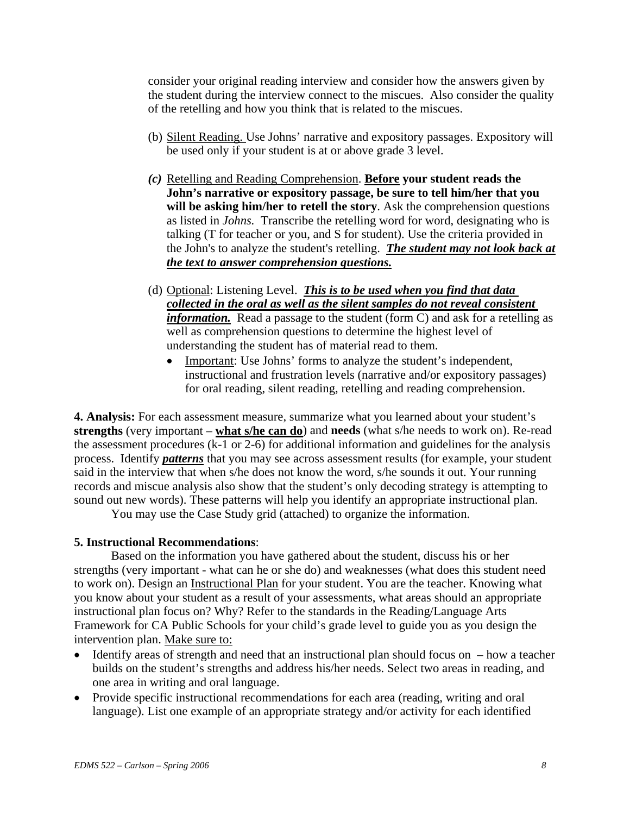consider your original reading interview and consider how the answers given by the student during the interview connect to the miscues. Also consider the quality of the retelling and how you think that is related to the miscues.

- (b) Silent Reading. Use Johns' narrative and expository passages. Expository will be used only if your student is at or above grade 3 level.
- *(c)* Retelling and Reading Comprehension. **Before your student reads the John's narrative or expository passage, be sure to tell him/her that you will be asking him/her to retell the story**. Ask the comprehension questions as listed in *Johns.* Transcribe the retelling word for word, designating who is talking (T for teacher or you, and S for student). Use the criteria provided in the John's to analyze the student's retelling. *The student may not look back at the text to answer comprehension questions.*
- (d) Optional: Listening Level. *This is to be used when you find that data collected in the oral as well as the silent samples do not reveal consistent information.* Read a passage to the student (form C) and ask for a retelling as well as comprehension questions to determine the highest level of understanding the student has of material read to them.
	- Important: Use Johns' forms to analyze the student's independent, instructional and frustration levels (narrative and/or expository passages) for oral reading, silent reading, retelling and reading comprehension.

**4. Analysis:** For each assessment measure, summarize what you learned about your student's **strengths** (very important – **what s/he can do**) and **needs** (what s/he needs to work on). Re-read the assessment procedures (k-1 or 2-6) for additional information and guidelines for the analysis process. Identify *patterns* that you may see across assessment results (for example, your student said in the interview that when s/he does not know the word, s/he sounds it out. Your running records and miscue analysis also show that the student's only decoding strategy is attempting to sound out new words). These patterns will help you identify an appropriate instructional plan.

You may use the Case Study grid (attached) to organize the information.

## **5. Instructional Recommendations**:

Based on the information you have gathered about the student, discuss his or her strengths (very important - what can he or she do) and weaknesses (what does this student need to work on). Design an Instructional Plan for your student. You are the teacher. Knowing what you know about your student as a result of your assessments, what areas should an appropriate instructional plan focus on? Why? Refer to the standards in the Reading/Language Arts Framework for CA Public Schools for your child's grade level to guide you as you design the intervention plan. Make sure to:

- Identify areas of strength and need that an instructional plan should focus on how a teacher builds on the student's strengths and address his/her needs. Select two areas in reading, and one area in writing and oral language.
- Provide specific instructional recommendations for each area (reading, writing and oral language). List one example of an appropriate strategy and/or activity for each identified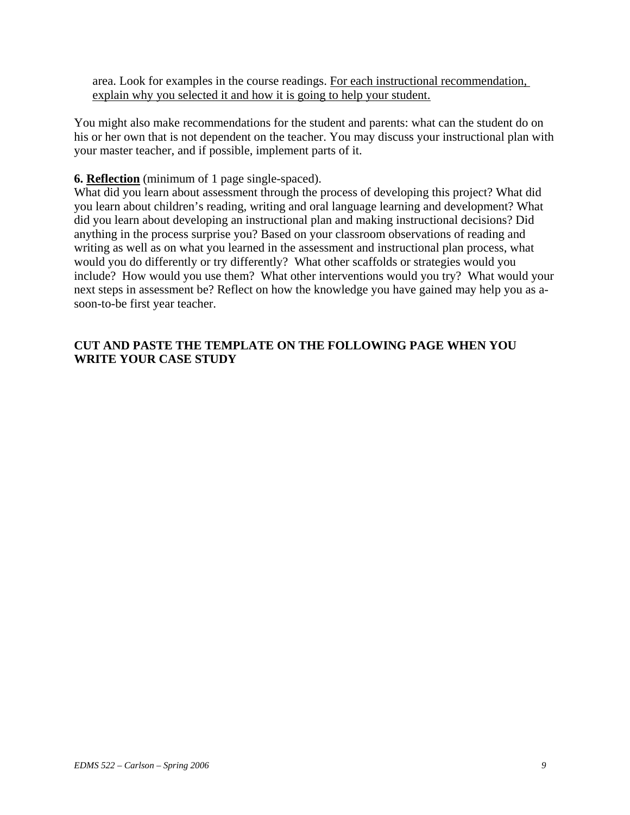area. Look for examples in the course readings. For each instructional recommendation, explain why you selected it and how it is going to help your student.

You might also make recommendations for the student and parents: what can the student do on his or her own that is not dependent on the teacher. You may discuss your instructional plan with your master teacher, and if possible, implement parts of it.

## **6. Reflection** (minimum of 1 page single-spaced).

What did you learn about assessment through the process of developing this project? What did you learn about children's reading, writing and oral language learning and development? What did you learn about developing an instructional plan and making instructional decisions? Did anything in the process surprise you? Based on your classroom observations of reading and writing as well as on what you learned in the assessment and instructional plan process, what would you do differently or try differently? What other scaffolds or strategies would you include? How would you use them? What other interventions would you try? What would your next steps in assessment be? Reflect on how the knowledge you have gained may help you as asoon-to-be first year teacher.

# **CUT AND PASTE THE TEMPLATE ON THE FOLLOWING PAGE WHEN YOU WRITE YOUR CASE STUDY**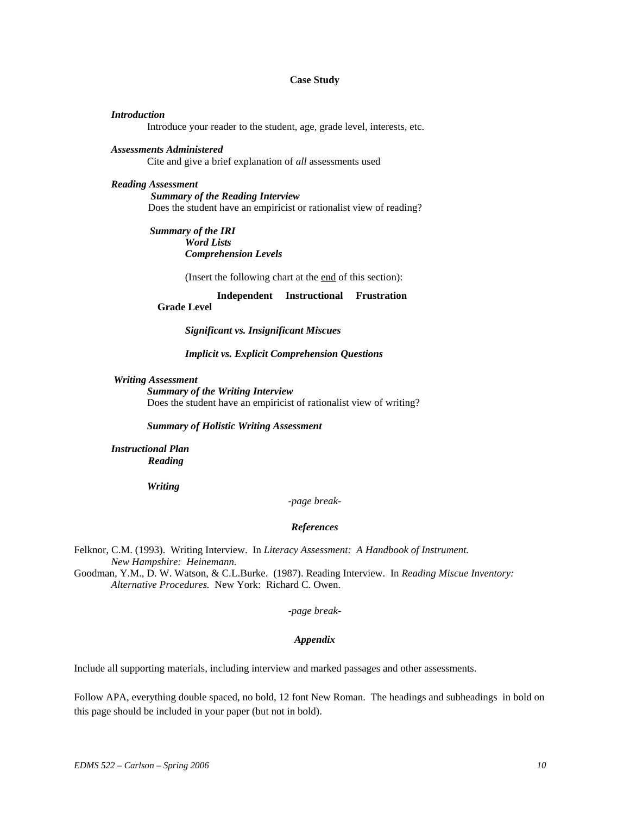#### **Case Study**

#### *Introduction*

Introduce your reader to the student, age, grade level, interests, etc.

#### *Assessments Administered*

Cite and give a brief explanation of *all* assessments used

#### *Reading Assessment*

 *Summary of the Reading Interview*  Does the student have an empiricist or rationalist view of reading?

 *Summary of the IRI*  *Word Lists*  *Comprehension Levels* 

(Insert the following chart at the end of this section):

 **Independent Instructional Frustration Grade Level** 

*Significant vs. Insignificant Miscues* 

#### *Implicit vs. Explicit Comprehension Questions*

#### *Writing Assessment*

*Summary of the Writing Interview*  Does the student have an empiricist of rationalist view of writing?

*Summary of Holistic Writing Assessment* 

 *Instructional Plan Reading* 

 *Writing* 

*-page break-*

#### *References*

Felknor, C.M. (1993). Writing Interview. In *Literacy Assessment: A Handbook of Instrument. New Hampshire: Heinemann.* 

Goodman, Y.M., D. W. Watson, & C.L.Burke. (1987). Reading Interview. In *Reading Miscue Inventory: Alternative Procedures.* New York: Richard C. Owen.

*-page break-*

#### *Appendix*

Include all supporting materials, including interview and marked passages and other assessments.

Follow APA, everything double spaced, no bold, 12 font New Roman. The headings and subheadings in bold on this page should be included in your paper (but not in bold).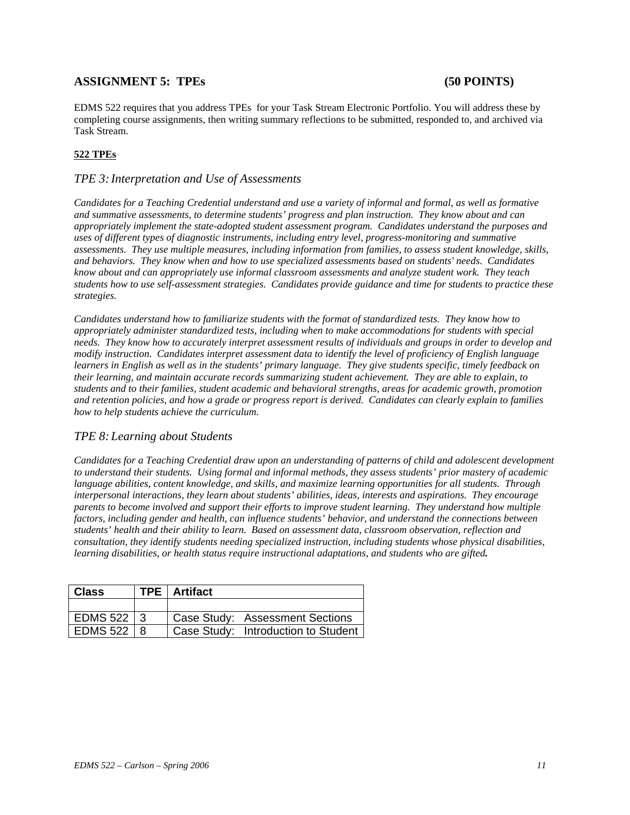## ASSIGNMENT 5: TPEs (50 POINTS)

EDMS 522 requires that you address TPEs for your Task Stream Electronic Portfolio. You will address these by completing course assignments, then writing summary reflections to be submitted, responded to, and archived via Task Stream.

#### **522 TPEs**

#### *TPE 3: Interpretation and Use of Assessments*

*Candidates for a Teaching Credential understand and use a variety of informal and formal, as well as formative and summative assessments, to determine students' progress and plan instruction. They know about and can appropriately implement the state-adopted student assessment program. Candidates understand the purposes and uses of different types of diagnostic instruments, including entry level, progress-monitoring and summative assessments. They use multiple measures, including information from families, to assess student knowledge, skills, and behaviors. They know when and how to use specialized assessments based on students' needs. Candidates know about and can appropriately use informal classroom assessments and analyze student work. They teach students how to use self-assessment strategies. Candidates provide guidance and time for students to practice these strategies.* 

*Candidates understand how to familiarize students with the format of standardized tests. They know how to appropriately administer standardized tests, including when to make accommodations for students with special needs. They know how to accurately interpret assessment results of individuals and groups in order to develop and modify instruction. Candidates interpret assessment data to identify the level of proficiency of English language learners in English as well as in the students' primary language. They give students specific, timely feedback on their learning, and maintain accurate records summarizing student achievement. They are able to explain, to students and to their families, student academic and behavioral strengths, areas for academic growth, promotion and retention policies, and how a grade or progress report is derived. Candidates can clearly explain to families how to help students achieve the curriculum.* 

#### *TPE 8: Learning about Students*

*Candidates for a Teaching Credential draw upon an understanding of patterns of child and adolescent development to understand their students. Using formal and informal methods, they assess students' prior mastery of academic language abilities, content knowledge, and skills, and maximize learning opportunities for all students. Through interpersonal interactions, they learn about students' abilities, ideas, interests and aspirations. They encourage parents to become involved and support their efforts to improve student learning. They understand how multiple factors, including gender and health, can influence students' behavior, and understand the connections between students' health and their ability to learn. Based on assessment data, classroom observation, reflection and consultation, they identify students needing specialized instruction, including students whose physical disabilities, learning disabilities, or health status require instructional adaptations, and students who are gifted.* 

| <b>Class</b>    | <b>TPE</b>   Artifact               |
|-----------------|-------------------------------------|
|                 |                                     |
| EDMS 522 3      | Case Study: Assessment Sections     |
| <b>EDMS 522</b> | Case Study: Introduction to Student |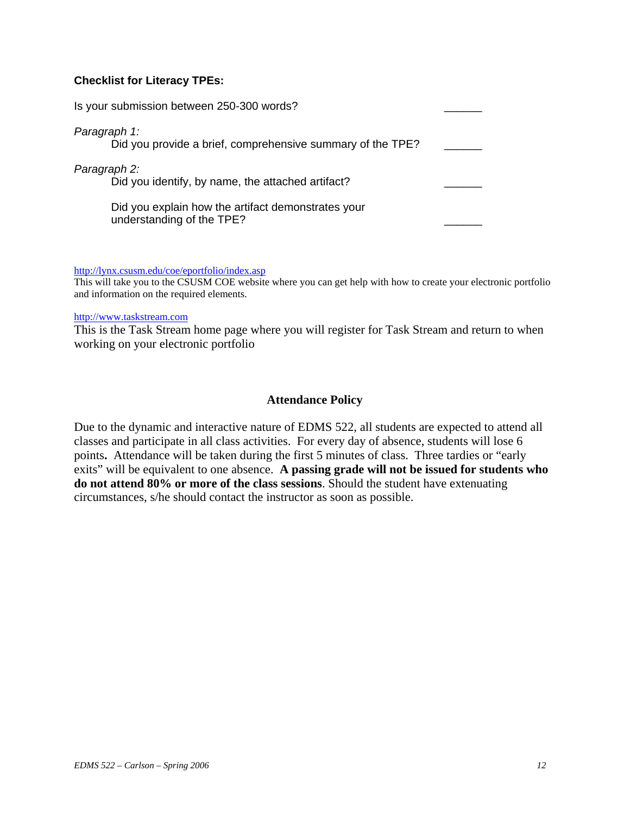## **Checklist for Literacy TPEs:**

| Is your submission between 250-300 words?                                       |  |
|---------------------------------------------------------------------------------|--|
| Paragraph 1:<br>Did you provide a brief, comprehensive summary of the TPE?      |  |
| Paragraph 2:<br>Did you identify, by name, the attached artifact?               |  |
| Did you explain how the artifact demonstrates your<br>understanding of the TPE? |  |

http://lynx.csusm.edu/coe/eportfolio/index.asp

This will take you to the CSUSM COE website where you can get help with how to create your electronic portfolio and information on the required elements.

#### http://www.taskstream.com

This is the Task Stream home page where you will register for Task Stream and return to when working on your electronic portfolio

#### **Attendance Policy**

Due to the dynamic and interactive nature of EDMS 522, all students are expected to attend all classes and participate in all class activities. For every day of absence, students will lose 6 points**.** Attendance will be taken during the first 5 minutes of class. Three tardies or "early exits" will be equivalent to one absence. **A passing grade will not be issued for students who do not attend 80% or more of the class sessions**. Should the student have extenuating circumstances, s/he should contact the instructor as soon as possible.